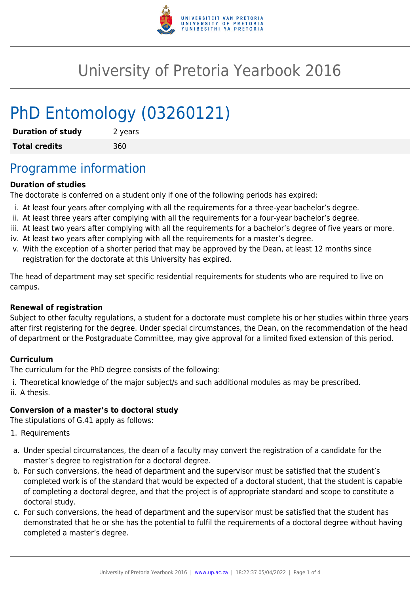

# University of Pretoria Yearbook 2016

# PhD Entomology (03260121)

| <b>Duration of study</b> | 2 years |
|--------------------------|---------|
| <b>Total credits</b>     | 360     |

## Programme information

### **Duration of studies**

The doctorate is conferred on a student only if one of the following periods has expired:

- i. At least four years after complying with all the requirements for a three-year bachelor's degree.
- ii. At least three years after complying with all the requirements for a four-year bachelor's degree.
- iii. At least two years after complying with all the requirements for a bachelor's degree of five years or more.
- iv. At least two years after complying with all the requirements for a master's degree.
- v. With the exception of a shorter period that may be approved by the Dean, at least 12 months since registration for the doctorate at this University has expired.

The head of department may set specific residential requirements for students who are required to live on campus.

#### **Renewal of registration**

Subject to other faculty regulations, a student for a doctorate must complete his or her studies within three years after first registering for the degree. Under special circumstances, the Dean, on the recommendation of the head of department or the Postgraduate Committee, may give approval for a limited fixed extension of this period.

#### **Curriculum**

The curriculum for the PhD degree consists of the following:

i. Theoretical knowledge of the major subject/s and such additional modules as may be prescribed. ii. A thesis.

#### **Conversion of a master's to doctoral study**

The stipulations of G.41 apply as follows:

- 1. Requirements
- a. Under special circumstances, the dean of a faculty may convert the registration of a candidate for the master's degree to registration for a doctoral degree.
- b. For such conversions, the head of department and the supervisor must be satisfied that the student's completed work is of the standard that would be expected of a doctoral student, that the student is capable of completing a doctoral degree, and that the project is of appropriate standard and scope to constitute a doctoral study.
- c. For such conversions, the head of department and the supervisor must be satisfied that the student has demonstrated that he or she has the potential to fulfil the requirements of a doctoral degree without having completed a master's degree.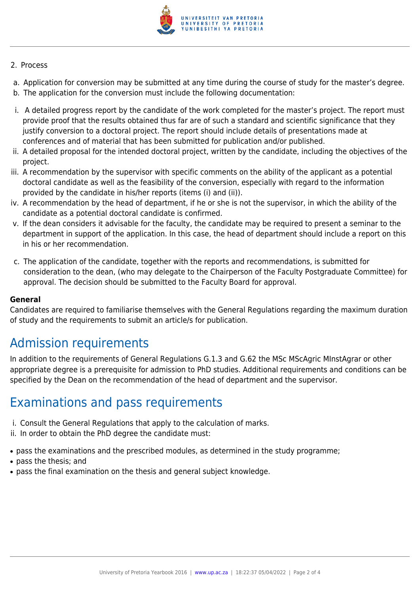

#### 2. Process

- a. Application for conversion may be submitted at any time during the course of study for the master's degree.
- b. The application for the conversion must include the following documentation:
- i. A detailed progress report by the candidate of the work completed for the master's project. The report must provide proof that the results obtained thus far are of such a standard and scientific significance that they justify conversion to a doctoral project. The report should include details of presentations made at conferences and of material that has been submitted for publication and/or published.
- ii. A detailed proposal for the intended doctoral project, written by the candidate, including the objectives of the project.
- iii. A recommendation by the supervisor with specific comments on the ability of the applicant as a potential doctoral candidate as well as the feasibility of the conversion, especially with regard to the information provided by the candidate in his/her reports (items (i) and (ii)).
- iv. A recommendation by the head of department, if he or she is not the supervisor, in which the ability of the candidate as a potential doctoral candidate is confirmed.
- v. If the dean considers it advisable for the faculty, the candidate may be required to present a seminar to the department in support of the application. In this case, the head of department should include a report on this in his or her recommendation.
- c. The application of the candidate, together with the reports and recommendations, is submitted for consideration to the dean, (who may delegate to the Chairperson of the Faculty Postgraduate Committee) for approval. The decision should be submitted to the Faculty Board for approval.

#### **General**

Candidates are required to familiarise themselves with the General Regulations regarding the maximum duration of study and the requirements to submit an article/s for publication.

## Admission requirements

In addition to the requirements of General Regulations G.1.3 and G.62 the MSc MScAgric MInstAgrar or other appropriate degree is a prerequisite for admission to PhD studies. Additional requirements and conditions can be specified by the Dean on the recommendation of the head of department and the supervisor.

### Examinations and pass requirements

- i. Consult the General Regulations that apply to the calculation of marks.
- ii. In order to obtain the PhD degree the candidate must:
- pass the examinations and the prescribed modules, as determined in the study programme;
- pass the thesis: and
- pass the final examination on the thesis and general subject knowledge.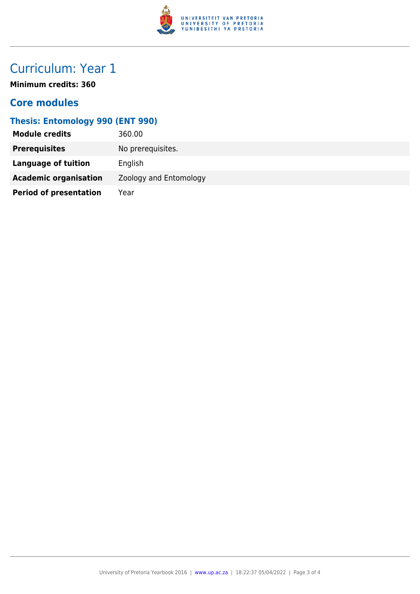

# Curriculum: Year 1

**Minimum credits: 360**

### **Core modules**

### **Thesis: Entomology 990 (ENT 990)**

| <b>Module credits</b>         | 360.00                 |
|-------------------------------|------------------------|
| <b>Prerequisites</b>          | No prerequisites.      |
| <b>Language of tuition</b>    | English                |
| <b>Academic organisation</b>  | Zoology and Entomology |
| <b>Period of presentation</b> | Year                   |